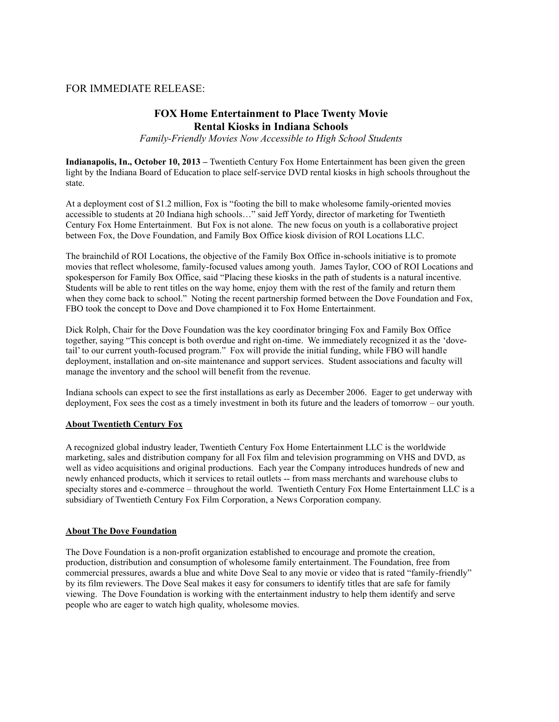# FOR IMMEDIATE RELEASE:

# **FOX Home Entertainment to Place Twenty Movie Rental Kiosks in Indiana Schools**

*Family-Friendly Movies Now Accessible to High School Students*

**Indianapolis, In., October 10, 2013 –** Twentieth Century Fox Home Entertainment has been given the green light by the Indiana Board of Education to place self-service DVD rental kiosks in high schools throughout the state.

At a deployment cost of \$1.2 million, Fox is "footing the bill to make wholesome family-oriented movies accessible to students at 20 Indiana high schools…" said Jeff Yordy, director of marketing for Twentieth Century Fox Home Entertainment. But Fox is not alone. The new focus on youth is a collaborative project between Fox, the Dove Foundation, and Family Box Office kiosk division of ROI Locations LLC.

The brainchild of ROI Locations, the objective of the Family Box Office in-schools initiative is to promote movies that reflect wholesome, family-focused values among youth. James Taylor, COO of ROI Locations and spokesperson for Family Box Office, said "Placing these kiosks in the path of students is a natural incentive. Students will be able to rent titles on the way home, enjoy them with the rest of the family and return them when they come back to school." Noting the recent partnership formed between the Dove Foundation and Fox, FBO took the concept to Dove and Dove championed it to Fox Home Entertainment.

Dick Rolph, Chair for the Dove Foundation was the key coordinator bringing Fox and Family Box Office together, saying "This concept is both overdue and right on-time. We immediately recognized it as the 'dovetail' to our current youth-focused program." Fox will provide the initial funding, while FBO will handle deployment, installation and on-site maintenance and support services. Student associations and faculty will manage the inventory and the school will benefit from the revenue.

Indiana schools can expect to see the first installations as early as December 2006. Eager to get underway with deployment, Fox sees the cost as a timely investment in both its future and the leaders of tomorrow – our youth.

### **About Twentieth Century Fox**

A recognized global industry leader, Twentieth Century Fox Home Entertainment LLC is the worldwide marketing, sales and distribution company for all Fox film and television programming on VHS and DVD, as well as video acquisitions and original productions. Each year the Company introduces hundreds of new and newly enhanced products, which it services to retail outlets -- from mass merchants and warehouse clubs to specialty stores and e-commerce – throughout the world. Twentieth Century Fox Home Entertainment LLC is a subsidiary of Twentieth Century Fox Film Corporation, a News Corporation company.

#### **About The Dove Foundation**

The Dove Foundation is a non-profit organization established to encourage and promote the creation, production, distribution and consumption of wholesome family entertainment. The Foundation, free from commercial pressures, awards a blue and white Dove Seal to any movie or video that is rated "family-friendly" by its film reviewers. The Dove Seal makes it easy for consumers to identify titles that are safe for family viewing. The Dove Foundation is working with the entertainment industry to help them identify and serve people who are eager to watch high quality, wholesome movies.